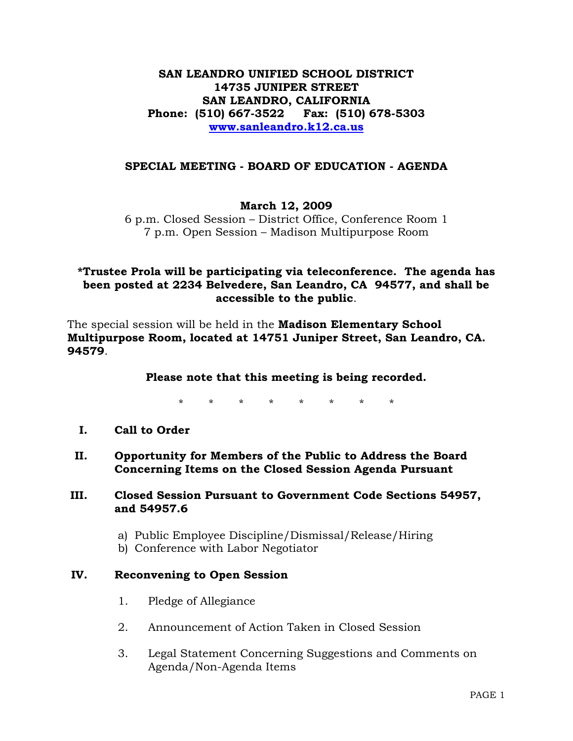**SAN LEANDRO UNIFIED SCHOOL DISTRICT 14735 JUNIPER STREET SAN LEANDRO, CALIFORNIA Phone: (510) 667-3522 Fax: (510) 678-5303 www.sanleandro.k12.ca.us**

#### **SPECIAL MEETING - BOARD OF EDUCATION - AGENDA**

### **March 12, 2009**

6 p.m. Closed Session – District Office, Conference Room 1 7 p.m. Open Session – Madison Multipurpose Room

### **\*Trustee Prola will be participating via teleconference. The agenda has been posted at 2234 Belvedere, San Leandro, CA 94577, and shall be accessible to the public**.

The special session will be held in the **Madison Elementary School Multipurpose Room, located at 14751 Juniper Street, San Leandro, CA. 94579**.

#### **Please note that this meeting is being recorded.**

\* \* \* \* \* \* \* \*

- **I. Call to Order**
- **II. Opportunity for Members of the Public to Address the Board Concerning Items on the Closed Session Agenda Pursuant**
- **III. Closed Session Pursuant to Government Code Sections 54957, and 54957.6** 
	- a) Public Employee Discipline/Dismissal/Release/Hiring
	- b) Conference with Labor Negotiator

#### **IV. Reconvening to Open Session**

- 1. Pledge of Allegiance
- 2. Announcement of Action Taken in Closed Session
- 3. Legal Statement Concerning Suggestions and Comments on Agenda/Non-Agenda Items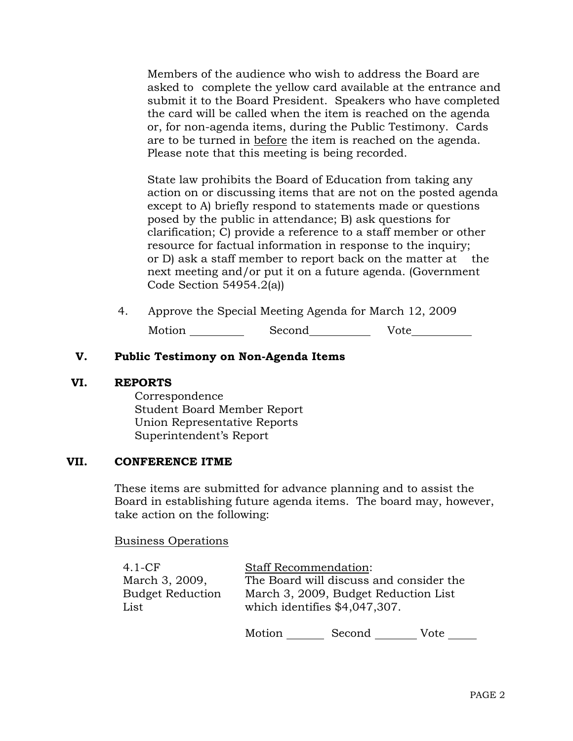Members of the audience who wish to address the Board are asked to complete the yellow card available at the entrance and submit it to the Board President. Speakers who have completed the card will be called when the item is reached on the agenda or, for non-agenda items, during the Public Testimony. Cards are to be turned in before the item is reached on the agenda. Please note that this meeting is being recorded.

 State law prohibits the Board of Education from taking any action on or discussing items that are not on the posted agenda except to A) briefly respond to statements made or questions posed by the public in attendance; B) ask questions for clarification; C) provide a reference to a staff member or other resource for factual information in response to the inquiry; or D) ask a staff member to report back on the matter at the next meeting and/or put it on a future agenda. (Government Code Section 54954.2(a))

4. Approve the Special Meeting Agenda for March 12, 2009 Motion Second Vote

## **V. Public Testimony on Non-Agenda Items**

#### **VI. REPORTS**

 Correspondence Student Board Member Report Union Representative Reports Superintendent's Report

#### **VII. CONFERENCE ITME**

These items are submitted for advance planning and to assist the Board in establishing future agenda items. The board may, however, take action on the following:

Business Operations

| $4.1 - CF$                                | <b>Staff Recommendation:</b>                                                    |        |      |  |  |
|-------------------------------------------|---------------------------------------------------------------------------------|--------|------|--|--|
| March 3, 2009,<br><b>Budget Reduction</b> | The Board will discuss and consider the<br>March 3, 2009, Budget Reduction List |        |      |  |  |
| List                                      | which identifies \$4,047,307.                                                   |        |      |  |  |
|                                           | Motion                                                                          | Second | Vote |  |  |